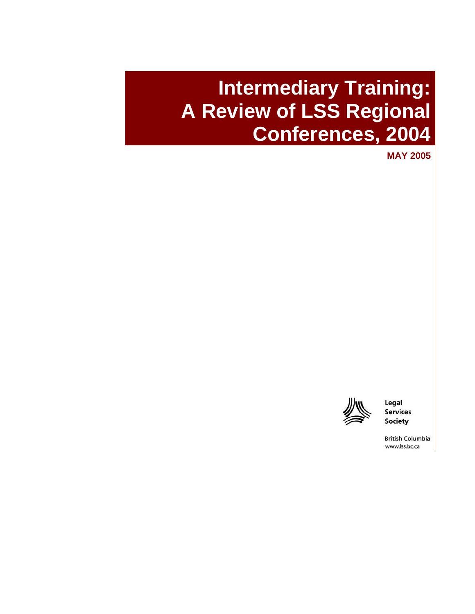# **Intermediary Training: A Review of LSS Regional Conferences, 2004**

**MAY 2005**



Legal **Services Society** 

**British Columbia** www.lss.bc.ca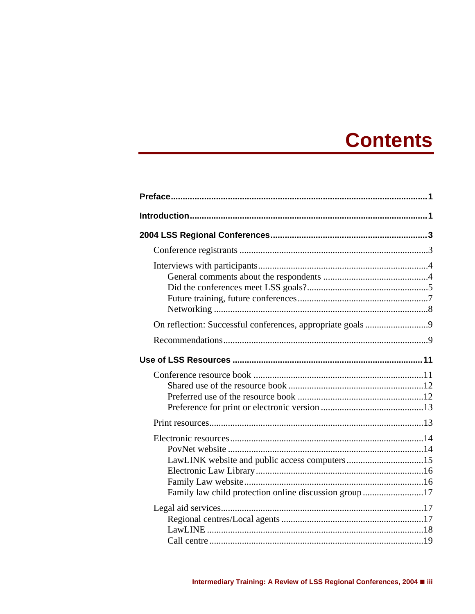# **Contents**

| LawLINK website and public access computers15         |  |
|-------------------------------------------------------|--|
|                                                       |  |
|                                                       |  |
|                                                       |  |
| Family law child protection online discussion group17 |  |
|                                                       |  |
|                                                       |  |
|                                                       |  |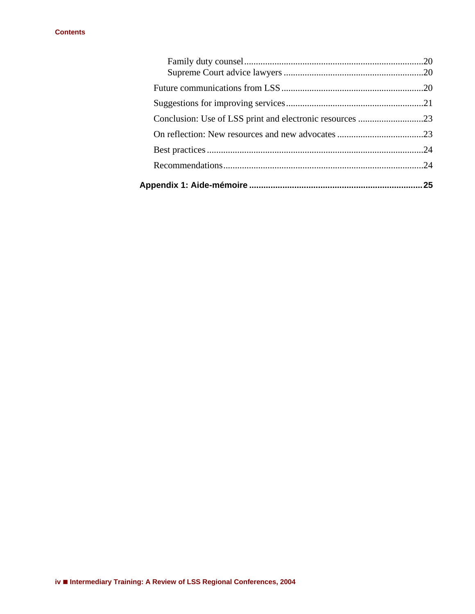| 25 |
|----|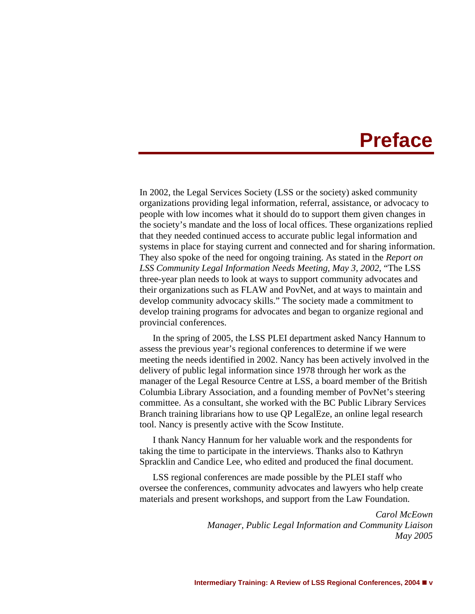# **Preface**

<span id="page-3-0"></span>In 2002, the Legal Services Society (LSS or the society) asked community organizations providing legal information, referral, assistance, or advocacy to people with low incomes what it should do to support them given changes in the society's mandate and the loss of local offices. These organizations replied that they needed continued access to accurate public legal information and systems in place for staying current and connected and for sharing information. They also spoke of the need for ongoing training. As stated in the *Report on LSS Community Legal Information Needs Meeting, May 3, 2002*, "The LSS three-year plan needs to look at ways to support community advocates and their organizations such as FLAW and PovNet, and at ways to maintain and develop community advocacy skills." The society made a commitment to develop training programs for advocates and began to organize regional and provincial conferences.

In the spring of 2005, the LSS PLEI department asked Nancy Hannum to assess the previous year's regional conferences to determine if we were meeting the needs identified in 2002. Nancy has been actively involved in the delivery of public legal information since 1978 through her work as the manager of the Legal Resource Centre at LSS, a board member of the British Columbia Library Association, and a founding member of PovNet's steering committee. As a consultant, she worked with the BC Public Library Services Branch training librarians how to use QP LegalEze, an online legal research tool. Nancy is presently active with the Scow Institute.

I thank Nancy Hannum for her valuable work and the respondents for taking the time to participate in the interviews. Thanks also to Kathryn Spracklin and Candice Lee, who edited and produced the final document.

LSS regional conferences are made possible by the PLEI staff who oversee the conferences, community advocates and lawyers who help create materials and present workshops, and support from the Law Foundation.

> *Carol McEown Manager, Public Legal Information and Community Liaison May 2005*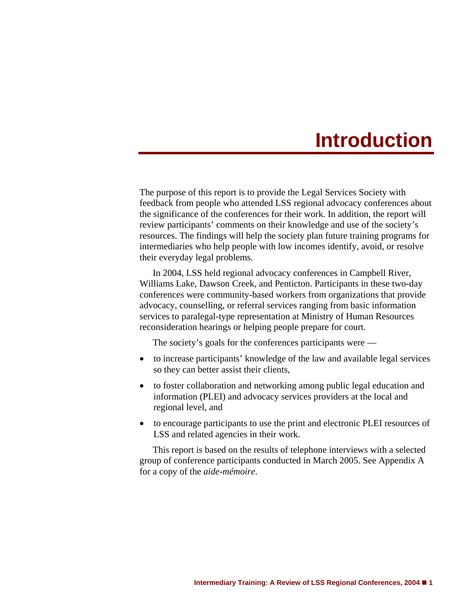# **Introduction**

<span id="page-4-0"></span>The purpose of this report is to provide the Legal Services Society with feedback from people who attended LSS regional advocacy conferences about the significance of the conferences for their work. In addition, the report will review participants' comments on their knowledge and use of the society's resources. The findings will help the society plan future training programs for intermediaries who help people with low incomes identify, avoid, or resolve their everyday legal problems.

In 2004, LSS held regional advocacy conferences in Campbell River, Williams Lake, Dawson Creek, and Penticton. Participants in these two-day conferences were community-based workers from organizations that provide advocacy, counselling, or referral services ranging from basic information services to paralegal-type representation at Ministry of Human Resources reconsideration hearings or helping people prepare for court.

The society's goals for the conferences participants were —

- to increase participants' knowledge of the law and available legal services so they can better assist their clients,
- to foster collaboration and networking among public legal education and information (PLEI) and advocacy services providers at the local and regional level, and
- to encourage participants to use the print and electronic PLEI resources of LSS and related agencies in their work.

This report is based on the results of telephone interviews with a selected group of conference participants conducted in March 2005. See Appendix A for a copy of the *aide-mémoire*.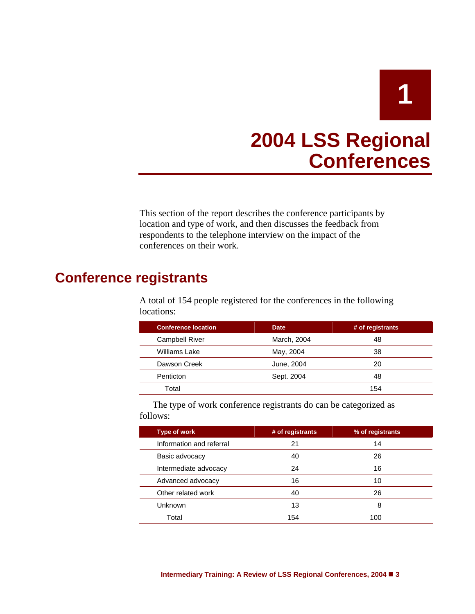

# **2004 LSS Regional Conferences**

<span id="page-5-0"></span>This section of the report describes the conference participants by location and type of work, and then discusses the feedback from respondents to the telephone interview on the impact of the conferences on their work.

# <span id="page-5-1"></span>**Conference registrants**

A total of 154 people registered for the conferences in the following locations:

| <b>Conference location</b> | <b>Date</b> | # of registrants |
|----------------------------|-------------|------------------|
| <b>Campbell River</b>      | March, 2004 | 48               |
| Williams Lake              | May, 2004   | 38               |
| Dawson Creek               | June, 2004  | 20               |
| Penticton                  | Sept. 2004  | 48               |
| Total                      |             | 154              |
|                            |             |                  |

The type of work conference registrants do can be categorized as follows:

| <b>Type of work</b>      | # of registrants | % of registrants |
|--------------------------|------------------|------------------|
| Information and referral | 21               | 14               |
| Basic advocacy           | 40               | 26               |
| Intermediate advocacy    | 24               | 16               |
| Advanced advocacy        | 16               | 10               |
| Other related work       | 40               | 26               |
| <b>Unknown</b>           | 13               | 8                |
| Total                    | 154              | 100              |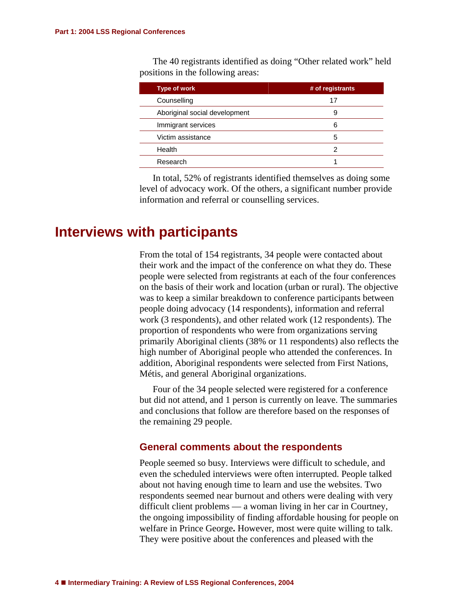The 40 registrants identified as doing "Other related work" held positions in the following areas:

| <b>Type of work</b>           | # of registrants |
|-------------------------------|------------------|
| Counselling                   | 17               |
| Aboriginal social development | 9                |
| Immigrant services            | 6                |
| Victim assistance             | 5                |
| Health                        | 2                |
| Research                      |                  |

In total, 52% of registrants identified themselves as doing some level of advocacy work. Of the others, a significant number provide information and referral or counselling services.

## <span id="page-6-0"></span>**Interviews with participants**

From the total of 154 registrants, 34 people were contacted about their work and the impact of the conference on what they do. These people were selected from registrants at each of the four conferences on the basis of their work and location (urban or rural). The objective was to keep a similar breakdown to conference participants between people doing advocacy (14 respondents), information and referral work (3 respondents), and other related work (12 respondents). The proportion of respondents who were from organizations serving primarily Aboriginal clients (38% or 11 respondents) also reflects the high number of Aboriginal people who attended the conferences. In addition, Aboriginal respondents were selected from First Nations, Métis, and general Aboriginal organizations.

Four of the 34 people selected were registered for a conference but did not attend, and 1 person is currently on leave. The summaries and conclusions that follow are therefore based on the responses of the remaining 29 people.

## <span id="page-6-1"></span>**General comments about the respondents**

People seemed so busy. Interviews were difficult to schedule, and even the scheduled interviews were often interrupted. People talked about not having enough time to learn and use the websites. Two respondents seemed near burnout and others were dealing with very difficult client problems — a woman living in her car in Courtney, the ongoing impossibility of finding affordable housing for people on welfare in Prince George**.** However, most were quite willing to talk. They were positive about the conferences and pleased with the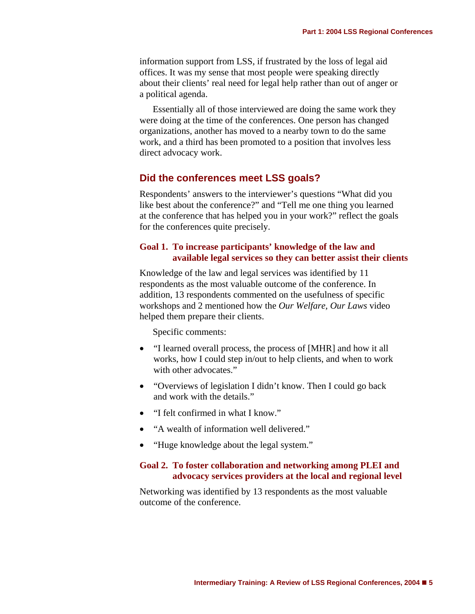information support from LSS, if frustrated by the loss of legal aid offices. It was my sense that most people were speaking directly about their clients' real need for legal help rather than out of anger or a political agenda.

Essentially all of those interviewed are doing the same work they were doing at the time of the conferences. One person has changed organizations, another has moved to a nearby town to do the same work, and a third has been promoted to a position that involves less direct advocacy work.

## <span id="page-7-0"></span>**Did the conferences meet LSS goals?**

Respondents' answers to the interviewer's questions "What did you like best about the conference?" and "Tell me one thing you learned at the conference that has helped you in your work?" reflect the goals for the conferences quite precisely.

## **Goal 1. To increase participants' knowledge of the law and available legal services so they can better assist their clients**

Knowledge of the law and legal services was identified by 11 respondents as the most valuable outcome of the conference. In addition, 13 respondents commented on the usefulness of specific workshops and 2 mentioned how the *Our Welfare, Our Laws* video helped them prepare their clients.

Specific comments:

- "I learned overall process, the process of [MHR] and how it all works, how I could step in/out to help clients, and when to work with other advocates."
- "Overviews of legislation I didn't know. Then I could go back and work with the details."
- "I felt confirmed in what I know."
- "A wealth of information well delivered."
- "Huge knowledge about the legal system."

#### **Goal 2. To foster collaboration and networking among PLEI and advocacy services providers at the local and regional level**

Networking was identified by 13 respondents as the most valuable outcome of the conference.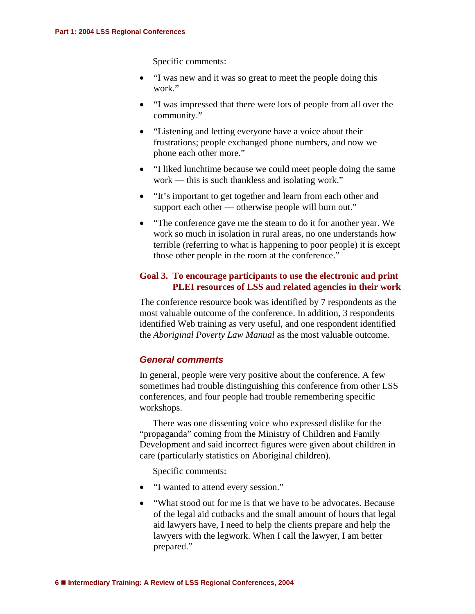Specific comments:

- "I was new and it was so great to meet the people doing this work."
- "I was impressed that there were lots of people from all over the community."
- "Listening and letting everyone have a voice about their frustrations; people exchanged phone numbers, and now we phone each other more."
- "I liked lunchtime because we could meet people doing the same work — this is such thankless and isolating work."
- "It's important to get together and learn from each other and support each other — otherwise people will burn out."
- "The conference gave me the steam to do it for another year. We work so much in isolation in rural areas, no one understands how terrible (referring to what is happening to poor people) it is except those other people in the room at the conference."

### **Goal 3. To encourage participants to use the electronic and print PLEI resources of LSS and related agencies in their work**

The conference resource book was identified by 7 respondents as the most valuable outcome of the conference. In addition, 3 respondents identified Web training as very useful, and one respondent identified the *Aboriginal Poverty Law Manual* as the most valuable outcome.

## *General comments*

In general, people were very positive about the conference. A few sometimes had trouble distinguishing this conference from other LSS conferences, and four people had trouble remembering specific workshops.

There was one dissenting voice who expressed dislike for the "propaganda" coming from the Ministry of Children and Family Development and said incorrect figures were given about children in care (particularly statistics on Aboriginal children).

Specific comments:

- "I wanted to attend every session."
- "What stood out for me is that we have to be advocates. Because of the legal aid cutbacks and the small amount of hours that legal aid lawyers have, I need to help the clients prepare and help the lawyers with the legwork. When I call the lawyer, I am better prepared."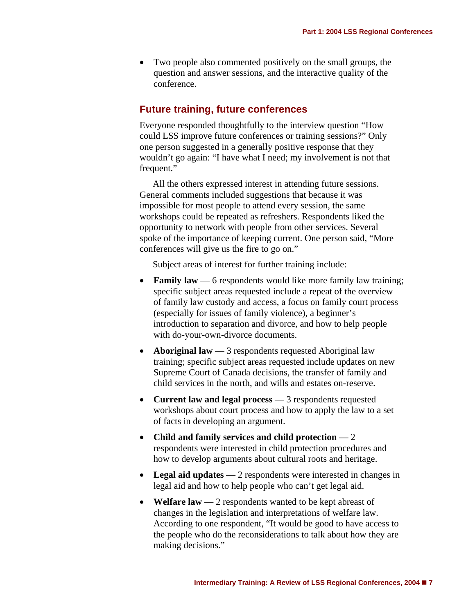• Two people also commented positively on the small groups, the question and answer sessions, and the interactive quality of the conference.

## <span id="page-9-0"></span>**Future training, future conferences**

Everyone responded thoughtfully to the interview question "How could LSS improve future conferences or training sessions?" Only one person suggested in a generally positive response that they wouldn't go again: "I have what I need; my involvement is not that frequent."

All the others expressed interest in attending future sessions. General comments included suggestions that because it was impossible for most people to attend every session, the same workshops could be repeated as refreshers. Respondents liked the opportunity to network with people from other services. Several spoke of the importance of keeping current. One person said, "More conferences will give us the fire to go on."

Subject areas of interest for further training include:

- **Family law** 6 respondents would like more family law training; specific subject areas requested include a repeat of the overview of family law custody and access, a focus on family court process (especially for issues of family violence), a beginner's introduction to separation and divorce, and how to help people with do-your-own-divorce documents.
- **Aboriginal law** 3 respondents requested Aboriginal law training; specific subject areas requested include updates on new Supreme Court of Canada decisions, the transfer of family and child services in the north, and wills and estates on-reserve.
- **Current law and legal process** 3 respondents requested workshops about court process and how to apply the law to a set of facts in developing an argument.
- **Child and family services and child protection** 2 respondents were interested in child protection procedures and how to develop arguments about cultural roots and heritage.
- Legal aid updates 2 respondents were interested in changes in legal aid and how to help people who can't get legal aid.
- Welfare law 2 respondents wanted to be kept abreast of changes in the legislation and interpretations of welfare law. According to one respondent, "It would be good to have access to the people who do the reconsiderations to talk about how they are making decisions."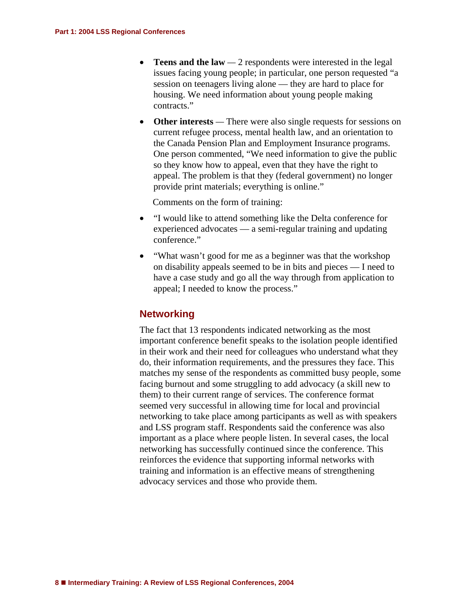- **Teens and the law** 2 respondents were interested in the legal issues facing young people; in particular, one person requested "a session on teenagers living alone — they are hard to place for housing. We need information about young people making contracts."
- Other interests There were also single requests for sessions on current refugee process, mental health law, and an orientation to the Canada Pension Plan and Employment Insurance programs. One person commented, "We need information to give the public so they know how to appeal, even that they have the right to appeal. The problem is that they (federal government) no longer provide print materials; everything is online."

Comments on the form of training:

- "I would like to attend something like the Delta conference for experienced advocates — a semi-regular training and updating conference."
- "What wasn't good for me as a beginner was that the workshop on disability appeals seemed to be in bits and pieces — I need to have a case study and go all the way through from application to appeal; I needed to know the process."

## <span id="page-10-0"></span>**Networking**

The fact that 13 respondents indicated networking as the most important conference benefit speaks to the isolation people identified in their work and their need for colleagues who understand what they do, their information requirements, and the pressures they face. This matches my sense of the respondents as committed busy people, some facing burnout and some struggling to add advocacy (a skill new to them) to their current range of services. The conference format seemed very successful in allowing time for local and provincial networking to take place among participants as well as with speakers and LSS program staff. Respondents said the conference was also important as a place where people listen. In several cases, the local networking has successfully continued since the conference. This reinforces the evidence that supporting informal networks with training and information is an effective means of strengthening advocacy services and those who provide them.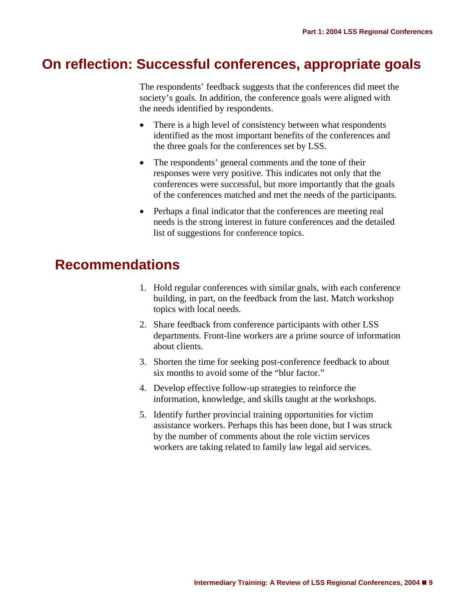# <span id="page-11-0"></span>**On reflection: Successful conferences, appropriate goals**

The respondents' feedback suggests that the conferences did meet the society's goals. In addition, the conference goals were aligned with the needs identified by respondents.

- There is a high level of consistency between what respondents identified as the most important benefits of the conferences and the three goals for the conferences set by LSS.
- $\bullet$ The respondents' general comments and the tone of their responses were very positive. This indicates not only that the conferences were successful, but more importantly that the goals of the conferences matched and met the needs of the participants.
- Perhaps a final indicator that the conferences are meeting real needs is the strong interest in future conferences and the detailed list of suggestions for conference topics.

# <span id="page-11-1"></span>**Recommendations**

- 1. Hold regular conferences with similar goals, with each conference building, in part, on the feedback from the last. Match workshop topics with local needs.
- 2. Share feedback from conference participants with other LSS departments. Front-line workers are a prime source of information about clients.
- 3. Shorten the time for seeking post-conference feedback to about six months to avoid some of the "blur factor."
- 4. Develop effective follow-up strategies to reinforce the information, knowledge, and skills taught at the workshops.
- 5. Identify further provincial training opportunities for victim assistance workers. Perhaps this has been done, but I was struck by the number of comments about the role victim services workers are taking related to family law legal aid services.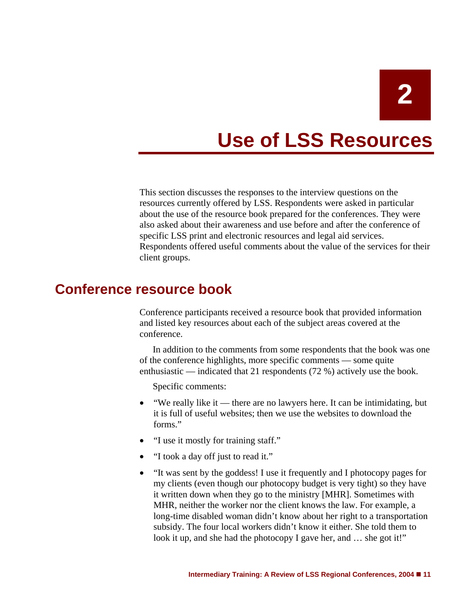# **Use of LSS Resources**

<span id="page-12-0"></span>This section discusses the responses to the interview questions on the resources currently offered by LSS. Respondents were asked in particular about the use of the resource book prepared for the conferences. They were also asked about their awareness and use before and after the conference of specific LSS print and electronic resources and legal aid services. Respondents offered useful comments about the value of the services for their client groups.

# <span id="page-12-1"></span>**Conference resource book**

Conference participants received a resource book that provided information and listed key resources about each of the subject areas covered at the conference.

In addition to the comments from some respondents that the book was one of the conference highlights, more specific comments — some quite enthusiastic — indicated that 21 respondents (72 %) actively use the book.

Specific comments:

- "We really like it there are no lawyers here. It can be intimidating, but it is full of useful websites; then we use the websites to download the forms."
- "I use it mostly for training staff."
- "I took a day off just to read it."
- "It was sent by the goddess! I use it frequently and I photocopy pages for my clients (even though our photocopy budget is very tight) so they have it written down when they go to the ministry [MHR]. Sometimes with MHR, neither the worker nor the client knows the law. For example, a long-time disabled woman didn't know about her right to a transportation subsidy. The four local workers didn't know it either. She told them to look it up, and she had the photocopy I gave her, and ... she got it!"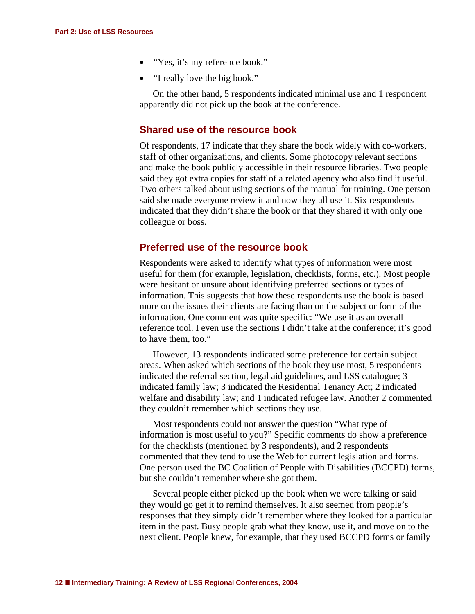- "Yes, it's my reference book."
- "I really love the big book."

On the other hand, 5 respondents indicated minimal use and 1 respondent apparently did not pick up the book at the conference.

### <span id="page-13-0"></span>**Shared use of the resource book**

Of respondents, 17 indicate that they share the book widely with co-workers, staff of other organizations, and clients. Some photocopy relevant sections and make the book publicly accessible in their resource libraries. Two people said they got extra copies for staff of a related agency who also find it useful. Two others talked about using sections of the manual for training. One person said she made everyone review it and now they all use it. Six respondents indicated that they didn't share the book or that they shared it with only one colleague or boss.

### <span id="page-13-1"></span>**Preferred use of the resource book**

Respondents were asked to identify what types of information were most useful for them (for example, legislation, checklists, forms, etc.). Most people were hesitant or unsure about identifying preferred sections or types of information. This suggests that how these respondents use the book is based more on the issues their clients are facing than on the subject or form of the information. One comment was quite specific: "We use it as an overall reference tool. I even use the sections I didn't take at the conference; it's good to have them, too."

However, 13 respondents indicated some preference for certain subject areas. When asked which sections of the book they use most, 5 respondents indicated the referral section, legal aid guidelines, and LSS catalogue; 3 indicated family law; 3 indicated the Residential Tenancy Act; 2 indicated welfare and disability law; and 1 indicated refugee law. Another 2 commented they couldn't remember which sections they use.

Most respondents could not answer the question "What type of information is most useful to you?" Specific comments do show a preference for the checklists (mentioned by 3 respondents), and 2 respondents commented that they tend to use the Web for current legislation and forms. One person used the BC Coalition of People with Disabilities (BCCPD) forms, but she couldn't remember where she got them.

Several people either picked up the book when we were talking or said they would go get it to remind themselves. It also seemed from people's responses that they simply didn't remember where they looked for a particular item in the past. Busy people grab what they know, use it, and move on to the next client. People knew, for example, that they used BCCPD forms or family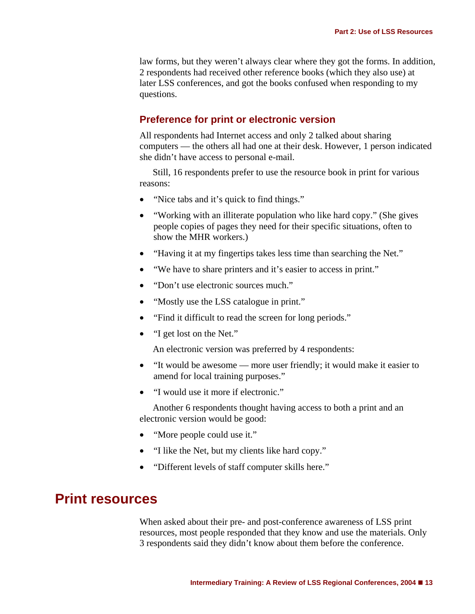law forms, but they weren't always clear where they got the forms. In addition, 2 respondents had received other reference books (which they also use) at later LSS conferences, and got the books confused when responding to my questions.

### <span id="page-14-0"></span>**Preference for print or electronic version**

All respondents had Internet access and only 2 talked about sharing computers — the others all had one at their desk. However, 1 person indicated she didn't have access to personal e-mail.

Still, 16 respondents prefer to use the resource book in print for various reasons:

- "Nice tabs and it's quick to find things."
- "Working with an illiterate population who like hard copy." (She gives people copies of pages they need for their specific situations, often to show the MHR workers.)
- "Having it at my fingertips takes less time than searching the Net."
- "We have to share printers and it's easier to access in print."
- "Don't use electronic sources much."
- "Mostly use the LSS catalogue in print."
- "Find it difficult to read the screen for long periods."
- <span id="page-14-1"></span>• "I get lost on the Net."

An electronic version was preferred by 4 respondents:

- "It would be awesome more user friendly; it would make it easier to amend for local training purposes."
- "I would use it more if electronic."

Another 6 respondents thought having access to both a print and an electronic version would be good:

- "More people could use it."
- "I like the Net, but my clients like hard copy."
- "Different levels of staff computer skills here."

## **Print resources**

When asked about their pre- and post-conference awareness of LSS print resources, most people responded that they know and use the materials. Only 3 respondents said they didn't know about them before the conference.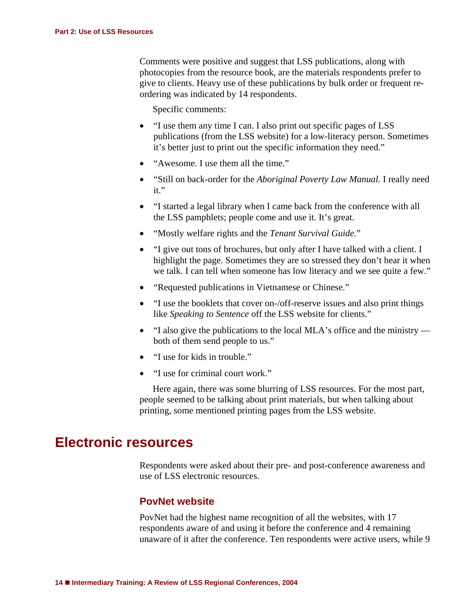Comments were positive and suggest that LSS publications, along with photocopies from the resource book, are the materials respondents prefer to give to clients. Heavy use of these publications by bulk order or frequent reordering was indicated by 14 respondents.

Specific comments:

- "I use them any time I can. I also print out specific pages of LSS publications (from the LSS website) for a low-literacy person. Sometimes it's better just to print out the specific information they need."
- "Awesome. I use them all the time."
- "Still on back-order for the *Aboriginal Poverty Law Manual.* I really need it."
- "I started a legal library when I came back from the conference with all the LSS pamphlets; people come and use it. It's great.
- "Mostly welfare rights and the *Tenant Survival Guide.*"
- "I give out tons of brochures, but only after I have talked with a client. I highlight the page. Sometimes they are so stressed they don't hear it when we talk. I can tell when someone has low literacy and we see quite a few."
- "Requested publications in Vietnamese or Chinese."
- "I use the booklets that cover on-/off-reserve issues and also print things like *Speaking to Sentence* off the LSS website for clients."
- "I also give the publications to the local MLA's office and the ministry both of them send people to us."
- "I use for kids in trouble."
- "I use for criminal court work."

Here again, there was some blurring of LSS resources. For the most part, people seemed to be talking about print materials, but when talking about printing, some mentioned printing pages from the LSS website.

# <span id="page-15-0"></span>**Electronic resources**

Respondents were asked about their pre- and post-conference awareness and use of LSS electronic resources.

## **PovNet website**

PovNet had the highest name recognition of all the websites, with 17 respondents aware of and using it before the conference and 4 remaining unaware of it after the conference. Ten respondents were active users, while 9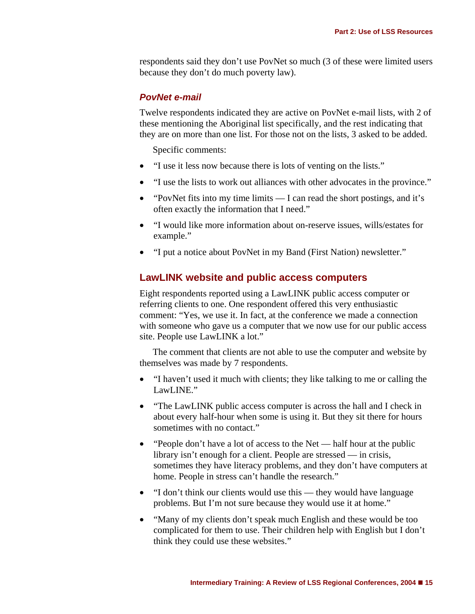respondents said they don't use PovNet so much (3 of these were limited users because they don't do much poverty law).

#### *PovNet e-mail*

Twelve respondents indicated they are active on PovNet e-mail lists, with 2 of these mentioning the Aboriginal list specifically, and the rest indicating that they are on more than one list. For those not on the lists, 3 asked to be added.

Specific comments:

- "I use it less now because there is lots of venting on the lists."
- "I use the lists to work out alliances with other advocates in the province."
- "PovNet fits into my time limits I can read the short postings, and it's often exactly the information that I need."
- "I would like more information about on-reserve issues, wills/estates for example."
- "I put a notice about PovNet in my Band (First Nation) newsletter."

### <span id="page-16-0"></span>**LawLINK website and public access computers**

Eight respondents reported using a LawLINK public access computer or referring clients to one. One respondent offered this very enthusiastic comment: "Yes, we use it. In fact, at the conference we made a connection with someone who gave us a computer that we now use for our public access site. People use LawLINK a lot."

The comment that clients are not able to use the computer and website by themselves was made by 7 respondents.

- "I haven't used it much with clients; they like talking to me or calling the LawLINE."
- "The LawLINK public access computer is across the hall and I check in about every half-hour when some is using it. But they sit there for hours sometimes with no contact."
- "People don't have a lot of access to the Net half hour at the public library isn't enough for a client. People are stressed — in crisis, sometimes they have literacy problems, and they don't have computers at home. People in stress can't handle the research."
- "I don't think our clients would use this they would have language problems. But I'm not sure because they would use it at home."
- "Many of my clients don't speak much English and these would be too complicated for them to use. Their children help with English but I don't think they could use these websites."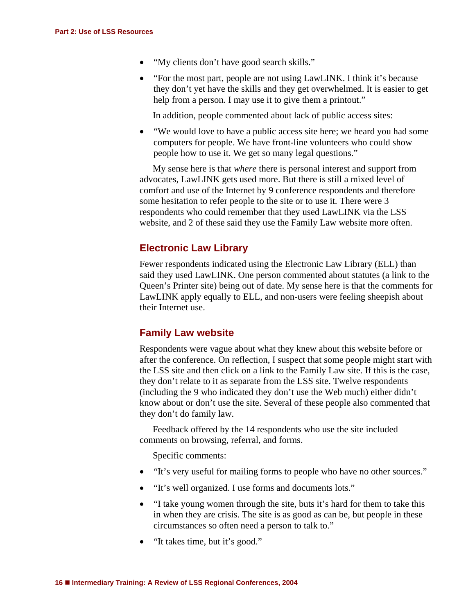- "My clients don't have good search skills."
- "For the most part, people are not using LawLINK. I think it's because they don't yet have the skills and they get overwhelmed. It is easier to get help from a person. I may use it to give them a printout."

In addition, people commented about lack of public access sites:

• "We would love to have a public access site here; we heard you had some computers for people. We have front-line volunteers who could show people how to use it. We get so many legal questions."

My sense here is that *where* there is personal interest and support from advocates, LawLINK gets used more. But there is still a mixed level of comfort and use of the Internet by 9 conference respondents and therefore some hesitation to refer people to the site or to use it*.* There were 3 respondents who could remember that they used LawLINK via the LSS website, and 2 of these said they use the Family Law website more often.

## <span id="page-17-0"></span>**Electronic Law Library**

Fewer respondents indicated using the Electronic Law Library (ELL) than said they used LawLINK. One person commented about statutes (a link to the Queen's Printer site) being out of date. My sense here is that the comments for LawLINK apply equally to ELL, and non-users were feeling sheepish about their Internet use.

## <span id="page-17-1"></span>**Family Law website**

Respondents were vague about what they knew about this website before or after the conference. On reflection, I suspect that some people might start with the LSS site and then click on a link to the Family Law site. If this is the case, they don't relate to it as separate from the LSS site. Twelve respondents (including the 9 who indicated they don't use the Web much) either didn't know about or don't use the site. Several of these people also commented that they don't do family law.

Feedback offered by the 14 respondents who use the site included comments on browsing, referral, and forms.

Specific comments:

- "It's very useful for mailing forms to people who have no other sources."
- "It's well organized. I use forms and documents lots."
- "I take young women through the site, buts it's hard for them to take this in when they are crisis. The site is as good as can be, but people in these circumstances so often need a person to talk to."
- "It takes time, but it's good."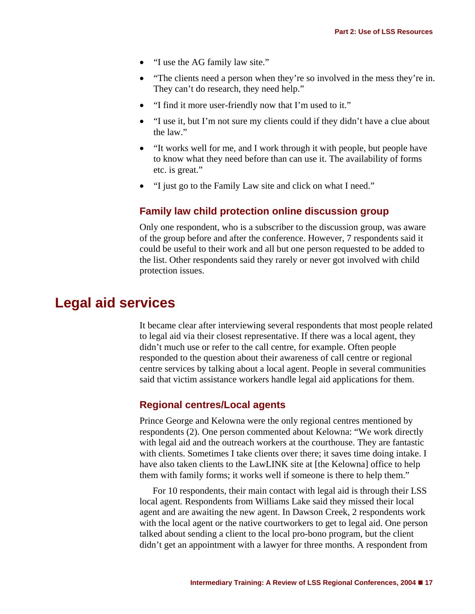- "I use the AG family law site."
- "The clients need a person when they're so involved in the mess they're in. They can't do research, they need help."
- "I find it more user-friendly now that I'm used to it."
- "I use it, but I'm not sure my clients could if they didn't have a clue about the law."
- "It works well for me, and I work through it with people, but people have to know what they need before than can use it. The availability of forms etc. is great."
- "I just go to the Family Law site and click on what I need."

## **Family law child protection online discussion group**

Only one respondent, who is a subscriber to the discussion group, was aware of the group before and after the conference. However, 7 respondents said it could be useful to their work and all but one person requested to be added to the list. Other respondents said they rarely or never got involved with child protection issues.

## <span id="page-18-2"></span><span id="page-18-1"></span><span id="page-18-0"></span>**Legal aid services**

It became clear after interviewing several respondents that most people related to legal aid via their closest representative. If there was a local agent, they didn't much use or refer to the call centre, for example. Often people responded to the question about their awareness of call centre or regional centre services by talking about a local agent. People in several communities said that victim assistance workers handle legal aid applications for them.

## **Regional centres/Local agents**

Prince George and Kelowna were the only regional centres mentioned by respondents (2). One person commented about Kelowna: "We work directly with legal aid and the outreach workers at the courthouse. They are fantastic with clients. Sometimes I take clients over there; it saves time doing intake. I have also taken clients to the LawLINK site at [the Kelowna] office to help them with family forms; it works well if someone is there to help them."

For 10 respondents, their main contact with legal aid is through their LSS local agent*.* Respondents from Williams Lake said they missed their local agent and are awaiting the new agent. In Dawson Creek, 2 respondents work with the local agent or the native courtworkers to get to legal aid. One person talked about sending a client to the local pro-bono program, but the client didn't get an appointment with a lawyer for three months. A respondent from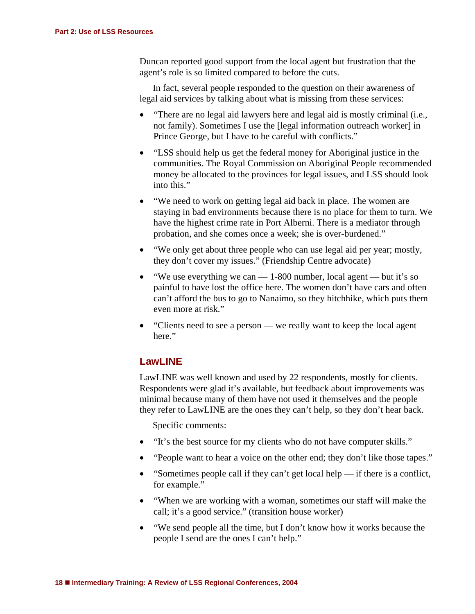Duncan reported good support from the local agent but frustration that the agent's role is so limited compared to before the cuts.

In fact, several people responded to the question on their awareness of legal aid services by talking about what is missing from these services:

- "There are no legal aid lawyers here and legal aid is mostly criminal (i.e., not family). Sometimes I use the [legal information outreach worker] in Prince George, but I have to be careful with conflicts."
- "LSS should help us get the federal money for Aboriginal justice in the communities. The Royal Commission on Aboriginal People recommended money be allocated to the provinces for legal issues, and LSS should look into this."
- "We need to work on getting legal aid back in place. The women are staying in bad environments because there is no place for them to turn. We have the highest crime rate in Port Alberni. There is a mediator through probation, and she comes once a week; she is over-burdened."
- "We only get about three people who can use legal aid per year; mostly, they don't cover my issues." (Friendship Centre advocate)
- "We use everything we can 1-800 number, local agent but it's so painful to have lost the office here. The women don't have cars and often can't afford the bus to go to Nanaimo, so they hitchhike, which puts them even more at risk."
- "Clients need to see a person — we really want to keep the local agent here."

## <span id="page-19-0"></span>**LawLINE**

LawLINE was well known and used by 22 respondents, mostly for clients. Respondents were glad it's available, but feedback about improvements was minimal because many of them have not used it themselves and the people they refer to LawLINE are the ones they can't help, so they don't hear back.

Specific comments:

- "It's the best source for my clients who do not have computer skills."
- "People want to hear a voice on the other end; they don't like those tapes."
- "Sometimes people call if they can't get local help if there is a conflict, for example."
- "When we are working with a woman, sometimes our staff will make the call; it's a good service." (transition house worker)
- "We send people all the time, but I don't know how it works because the people I send are the ones I can't help."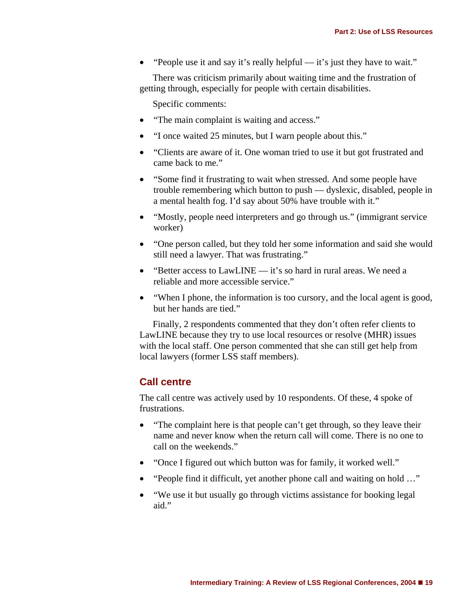• "People use it and say it's really helpful — it's just they have to wait."

There was criticism primarily about waiting time and the frustration of getting through, especially for people with certain disabilities.

Specific comments:

- "The main complaint is waiting and access."
- "I once waited 25 minutes, but I warn people about this."
- "Clients are aware of it. One woman tried to use it but got frustrated and came back to me."
- "Some find it frustrating to wait when stressed. And some people have trouble remembering which button to push — dyslexic, disabled, people in a mental health fog. I'd say about 50% have trouble with it."
- "Mostly, people need interpreters and go through us." (immigrant service worker)
- "One person called, but they told her some information and said she would still need a lawyer. That was frustrating."
- "Better access to LawLINE it's so hard in rural areas. We need a reliable and more accessible service."
- "When I phone, the information is too cursory, and the local agent is good, but her hands are tied."

<span id="page-20-0"></span>Finally, 2 respondents commented that they don't often refer clients to LawLINE because they try to use local resources or resolve (MHR) issues with the local staff. One person commented that she can still get help from local lawyers (former LSS staff members).

### **Call centre**

The call centre was actively used by 10 respondents. Of these, 4 spoke of frustrations.

- "The complaint here is that people can't get through, so they leave their name and never know when the return call will come. There is no one to call on the weekends."
- "Once I figured out which button was for family, it worked well."
- "People find it difficult, yet another phone call and waiting on hold …"
- "We use it but usually go through victims assistance for booking legal aid."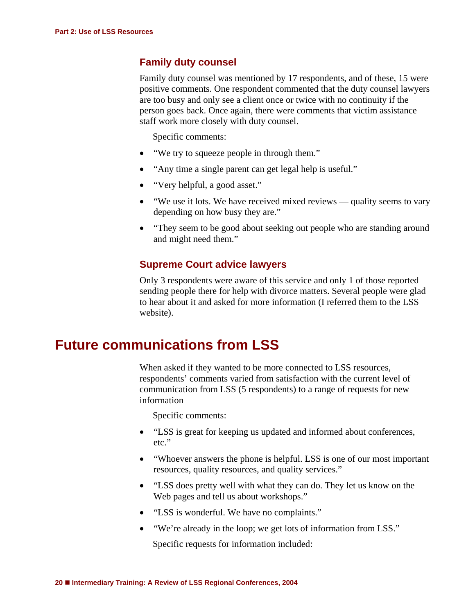## <span id="page-21-0"></span>**Family duty counsel**

Family duty counsel was mentioned by 17 respondents, and of these, 15 were positive comments. One respondent commented that the duty counsel lawyers are too busy and only see a client once or twice with no continuity if the person goes back. Once again, there were comments that victim assistance staff work more closely with duty counsel.

Specific comments:

- "We try to squeeze people in through them."
- "Any time a single parent can get legal help is useful."
- "Very helpful, a good asset."
- "We use it lots. We have received mixed reviews quality seems to vary depending on how busy they are."
- "They seem to be good about seeking out people who are standing around and might need them."

## **Supreme Court advice lawyers**

Only 3 respondents were aware of this service and only 1 of those reported sending people there for help with divorce matters. Several people were glad to hear about it and asked for more information (I referred them to the LSS website).

# <span id="page-21-2"></span><span id="page-21-1"></span>**Future communications from LSS**

When asked if they wanted to be more connected to LSS resources, respondents' comments varied from satisfaction with the current level of communication from LSS (5 respondents) to a range of requests for new information

Specific comments:

- "LSS is great for keeping us updated and informed about conferences, etc."
- "Whoever answers the phone is helpful. LSS is one of our most important resources, quality resources, and quality services."
- "LSS does pretty well with what they can do. They let us know on the Web pages and tell us about workshops."
- "LSS is wonderful. We have no complaints."
- "We're already in the loop; we get lots of information from LSS."

Specific requests for information included: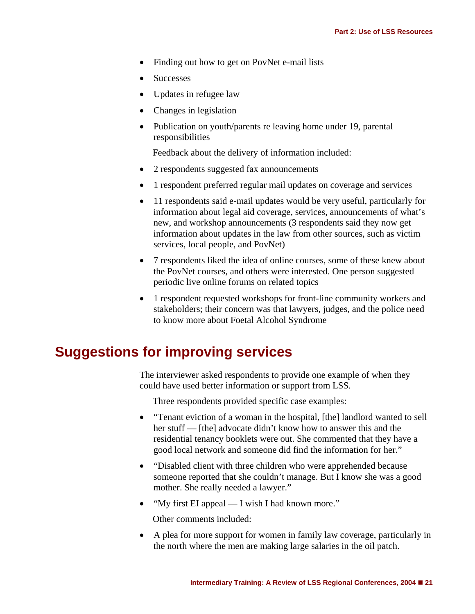- Finding out how to get on PovNet e-mail lists
- **Successes**
- Updates in refugee law
- Changes in legislation
- Publication on youth/parents re leaving home under 19, parental responsibilities

Feedback about the delivery of information included:

- 2 respondents suggested fax announcements
- 1 respondent preferred regular mail updates on coverage and services
- 11 respondents said e-mail updates would be very useful, particularly for information about legal aid coverage, services, announcements of what's new, and workshop announcements (3 respondents said they now get information about updates in the law from other sources, such as victim services, local people, and PovNet)
- 7 respondents liked the idea of online courses, some of these knew about the PovNet courses, and others were interested. One person suggested periodic live online forums on related topics
- 1 respondent requested workshops for front-line community workers and stakeholders; their concern was that lawyers, judges, and the police need to know more about Foetal Alcohol Syndrome

# <span id="page-22-0"></span>**Suggestions for improving services**

The interviewer asked respondents to provide one example of when they could have used better information or support from LSS.

Three respondents provided specific case examples:

- "Tenant eviction of a woman in the hospital, [the] landlord wanted to sell her stuff — [the] advocate didn't know how to answer this and the residential tenancy booklets were out. She commented that they have a good local network and someone did find the information for her."
- "Disabled client with three children who were apprehended because someone reported that she couldn't manage. But I know she was a good mother. She really needed a lawyer."
- "My first EI appeal I wish I had known more."

Other comments included:

• A plea for more support for women in family law coverage, particularly in the north where the men are making large salaries in the oil patch.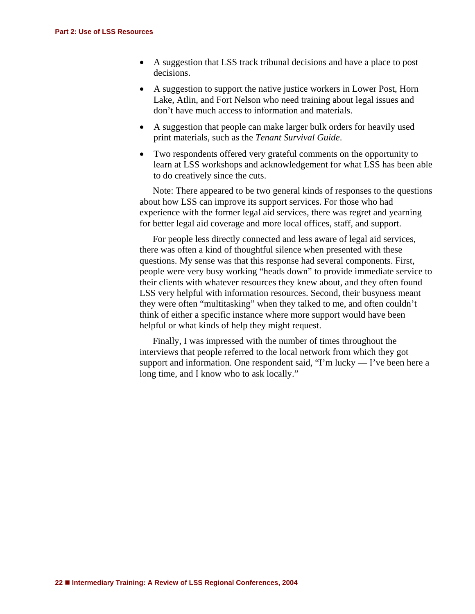- A suggestion that LSS track tribunal decisions and have a place to post decisions.
- A suggestion to support the native justice workers in Lower Post, Horn Lake, Atlin, and Fort Nelson who need training about legal issues and don't have much access to information and materials.
- A suggestion that people can make larger bulk orders for heavily used print materials, such as the *Tenant Survival Guide*.
- Two respondents offered very grateful comments on the opportunity to learn at LSS workshops and acknowledgement for what LSS has been able to do creatively since the cuts.

Note: There appeared to be two general kinds of responses to the questions about how LSS can improve its support services. For those who had experience with the former legal aid services, there was regret and yearning for better legal aid coverage and more local offices, staff, and support.

For people less directly connected and less aware of legal aid services, there was often a kind of thoughtful silence when presented with these questions. My sense was that this response had several components. First, people were very busy working "heads down" to provide immediate service to their clients with whatever resources they knew about, and they often found LSS very helpful with information resources. Second, their busyness meant they were often "multitasking" when they talked to me, and often couldn't think of either a specific instance where more support would have been helpful or what kinds of help they might request.

Finally, I was impressed with the number of times throughout the interviews that people referred to the local network from which they got support and information. One respondent said, "I'm lucky — I've been here a long time, and I know who to ask locally."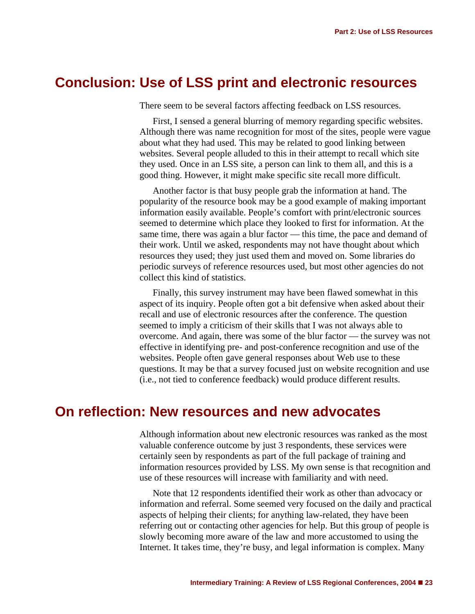# <span id="page-24-0"></span>**Conclusion: Use of LSS print and electronic resources**

There seem to be several factors affecting feedback on LSS resources.

First, I sensed a general blurring of memory regarding specific websites. Although there was name recognition for most of the sites, people were vague about what they had used. This may be related to good linking between websites. Several people alluded to this in their attempt to recall which site they used. Once in an LSS site, a person can link to them all, and this is a good thing. However, it might make specific site recall more difficult.

Another factor is that busy people grab the information at hand. The popularity of the resource book may be a good example of making important information easily available. People's comfort with print/electronic sources seemed to determine which place they looked to first for information. At the same time, there was again a blur factor — this time, the pace and demand of their work. Until we asked, respondents may not have thought about which resources they used; they just used them and moved on. Some libraries do periodic surveys of reference resources used, but most other agencies do not collect this kind of statistics.

Finally, this survey instrument may have been flawed somewhat in this aspect of its inquiry. People often got a bit defensive when asked about their recall and use of electronic resources after the conference. The question seemed to imply a criticism of their skills that I was not always able to overcome. And again, there was some of the blur factor — the survey was not effective in identifying pre- and post-conference recognition and use of the websites. People often gave general responses about Web use to these questions. It may be that a survey focused just on website recognition and use (i.e., not tied to conference feedback) would produce different results.

# <span id="page-24-1"></span>**On reflection: New resources and new advocates**

Although information about new electronic resources was ranked as the most valuable conference outcome by just 3 respondents, these services were certainly seen by respondents as part of the full package of training and information resources provided by LSS. My own sense is that recognition and use of these resources will increase with familiarity and with need.

Note that 12 respondents identified their work as other than advocacy or information and referral. Some seemed very focused on the daily and practical aspects of helping their clients; for anything law-related, they have been referring out or contacting other agencies for help. But this group of people is slowly becoming more aware of the law and more accustomed to using the Internet. It takes time, they're busy, and legal information is complex. Many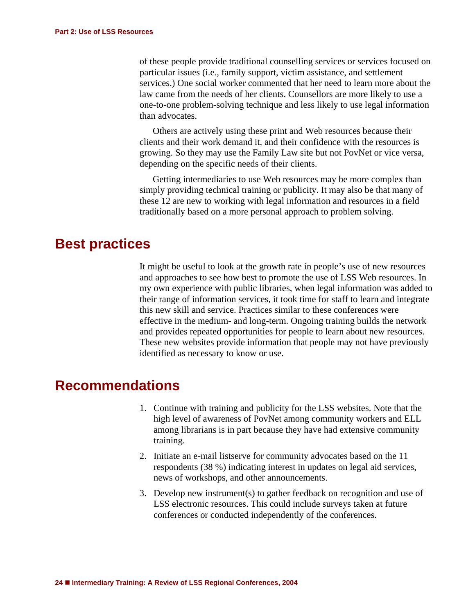of these people provide traditional counselling services or services focused on particular issues (i.e., family support, victim assistance, and settlement services.) One social worker commented that her need to learn more about the law came from the needs of her clients. Counsellors are more likely to use a one-to-one problem-solving technique and less likely to use legal information than advocates.

Others are actively using these print and Web resources because their clients and their work demand it, and their confidence with the resources is growing. So they may use the Family Law site but not PovNet or vice versa, depending on the specific needs of their clients.

Getting intermediaries to use Web resources may be more complex than simply providing technical training or publicity. It may also be that many of these 12 are new to working with legal information and resources in a field traditionally based on a more personal approach to problem solving.

## <span id="page-25-0"></span>**Best practices**

It might be useful to look at the growth rate in people's use of new resources and approaches to see how best to promote the use of LSS Web resources. In my own experience with public libraries, when legal information was added to their range of information services, it took time for staff to learn and integrate this new skill and service. Practices similar to these conferences were effective in the medium- and long-term. Ongoing training builds the network and provides repeated opportunities for people to learn about new resources. These new websites provide information that people may not have previously identified as necessary to know or use.

# <span id="page-25-1"></span>**Recommendations**

- 1. Continue with training and publicity for the LSS websites. Note that the high level of awareness of PovNet among community workers and ELL among librarians is in part because they have had extensive community training.
- 2. Initiate an e-mail listserve for community advocates based on the 11 respondents (38 %) indicating interest in updates on legal aid services, news of workshops, and other announcements.
- 3. Develop new instrument(s) to gather feedback on recognition and use of LSS electronic resources. This could include surveys taken at future conferences or conducted independently of the conferences.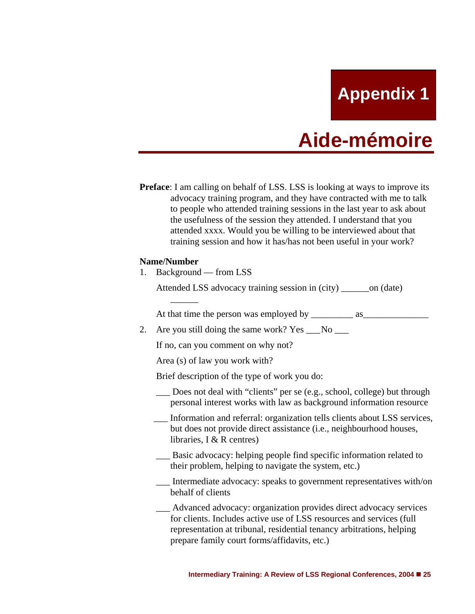**Appendix 1**

# **Aide-mémoire**

<span id="page-26-0"></span>**Preface**: I am calling on behalf of LSS. LSS is looking at ways to improve its advocacy training program, and they have contracted with me to talk to people who attended training sessions in the last year to ask about the usefulness of the session they attended. I understand that you attended xxxx. Would you be willing to be interviewed about that training session and how it has/has not been useful in your work?

#### **Name/Number**

1. Background — from LSS

 $\overline{\phantom{a}}$ 

Attended LSS advocacy training session in (city) \_\_\_\_\_\_on (date)

At that time the person was employed by \_\_\_\_\_\_\_\_\_ as\_\_\_\_\_\_\_\_\_\_\_\_\_\_

2. Are you still doing the same work? Yes  $\sim$  No

If no, can you comment on why not?

Area (s) of law you work with?

Brief description of the type of work you do:

- Does not deal with "clients" per se (e.g., school, college) but through personal interest works with law as background information resource
- Information and referral: organization tells clients about LSS services, but does not provide direct assistance (i.e., neighbourhood houses, libraries, I & R centres)
- Basic advocacy: helping people find specific information related to their problem, helping to navigate the system, etc.)
- \_\_\_ Intermediate advocacy: speaks to government representatives with/on behalf of clients
- Advanced advocacy: organization provides direct advocacy services for clients. Includes active use of LSS resources and services (full representation at tribunal, residential tenancy arbitrations, helping prepare family court forms/affidavits, etc.)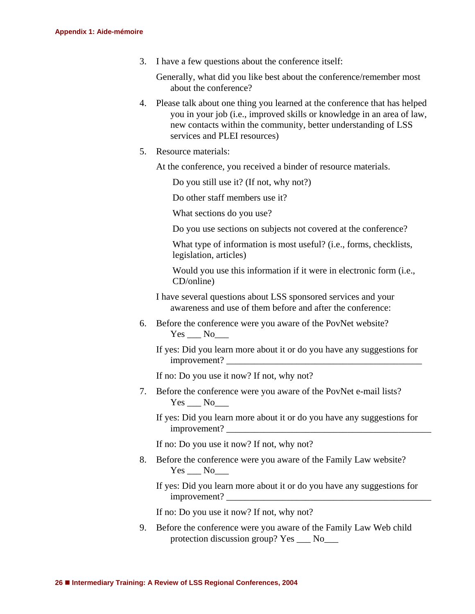3. I have a few questions about the conference itself:

 Generally, what did you like best about the conference/remember most about the conference?

- 4. Please talk about one thing you learned at the conference that has helped you in your job (i.e., improved skills or knowledge in an area of law, new contacts within the community, better understanding of LSS services and PLEI resources)
- 5. Resource materials:

At the conference, you received a binder of resource materials.

Do you still use it? (If not, why not?)

Do other staff members use it?

What sections do you use?

Do you use sections on subjects not covered at the conference?

 What type of information is most useful? (i.e., forms, checklists, legislation, articles)

 Would you use this information if it were in electronic form (i.e., CD/online)

 I have several questions about LSS sponsored services and your awareness and use of them before and after the conference:

6. Before the conference were you aware of the PovNet website?  $Yes \_\_No \_\_$ 

 If yes: Did you learn more about it or do you have any suggestions for improvement?

If no: Do you use it now? If not, why not?

7. Before the conference were you aware of the PovNet e-mail lists? Yes No

 If yes: Did you learn more about it or do you have any suggestions for improvement? \_\_\_\_\_\_\_\_\_\_\_\_\_\_\_\_\_\_\_\_\_\_\_\_\_\_\_\_\_\_\_\_\_\_\_\_\_\_\_\_\_\_\_\_

If no: Do you use it now? If not, why not?

8. Before the conference were you aware of the Family Law website?  $Yes \_\_No \_\_$ 

 If yes: Did you learn more about it or do you have any suggestions for improvement? \_\_\_\_\_\_\_\_\_\_\_\_\_\_\_\_\_\_\_\_\_\_\_\_\_\_\_\_\_\_\_\_\_\_\_\_\_\_\_\_\_\_\_\_

If no: Do you use it now? If not, why not?

9. Before the conference were you aware of the Family Law Web child protection discussion group? Yes \_\_\_ No\_\_\_